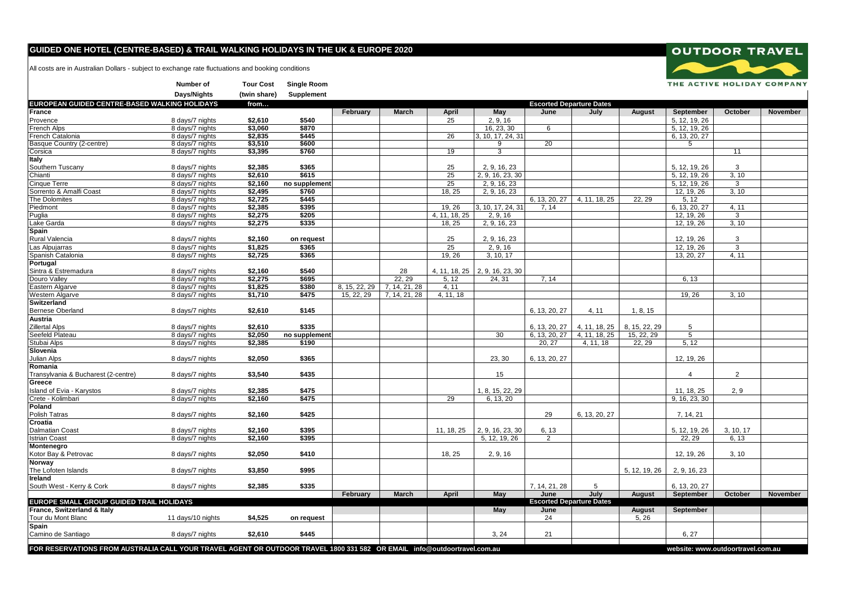## **GUIDED ONE HOTEL (CENTRE-BASED) & TRAIL WALKING HOLIDAYS IN THE UK & EUROPE 2020**

**Number of Tour Cost Single Room**

All costs are in Australian Dollars - subject to exchange rate fluctuations and booking conditions

|                                                                                                                          | Days/Nights       | (twin share) | Supplement    |                                 |               |               |                                  |                |                                 |               |                                   |                |          |
|--------------------------------------------------------------------------------------------------------------------------|-------------------|--------------|---------------|---------------------------------|---------------|---------------|----------------------------------|----------------|---------------------------------|---------------|-----------------------------------|----------------|----------|
| EUROPEAN GUIDED CENTRE-BASED WALKING HOLIDAYS                                                                            |                   | from         |               | <b>Escorted Departure Dates</b> |               |               |                                  |                |                                 |               |                                   |                |          |
| France                                                                                                                   |                   |              |               | February                        | March         | April         | May                              | June           | July                            | August        | September                         | October        | November |
| Provence                                                                                                                 | 8 days/7 nights   | \$2,610      | \$540         |                                 |               | 25            | 2, 9, 16                         |                |                                 |               | 5, 12, 19, 26                     |                |          |
| French Alps                                                                                                              | 8 days/7 nights   | \$3.060      | \$870         |                                 |               |               | 16, 23, 30                       | 6              |                                 |               | 5, 12, 19, 26                     |                |          |
| French Catalonia                                                                                                         | 8 days/7 nights   | \$2,835      | \$445         |                                 |               | 26            | 3, 10, 17, 24, 31                |                |                                 |               | 6, 13, 20, 27                     |                |          |
| Basque Country (2-centre)                                                                                                | 8 days/7 nights   | \$3,510      | \$600         |                                 |               |               | 9                                | 20             |                                 |               | 5                                 |                |          |
| Corsica                                                                                                                  | 8 days/7 nights   | \$3,395      | \$760         |                                 |               | 19            | $\overline{3}$                   |                |                                 |               |                                   | 11             |          |
| <b>Italy</b>                                                                                                             |                   |              |               |                                 |               |               |                                  |                |                                 |               |                                   |                |          |
| Southern Tuscany                                                                                                         | 8 days/7 nights   | \$2,385      | \$365         |                                 |               | 25            | 2, 9, 16, 23                     |                |                                 |               | 5, 12, 19, 26                     | 3              |          |
| Chianti                                                                                                                  | 8 days/7 nights   | \$2,610      | \$615         |                                 |               | 25            | 2, 9, 16, 23, 30                 |                |                                 |               | 5, 12, 19, 26                     | 3, 10          |          |
| Cinque Terre                                                                                                             | 8 days/7 nights   | \$2,160      | no supplement |                                 |               | 25            | 2, 9, 16, 23                     |                |                                 |               | 5, 12, 19, 26                     | 3              |          |
| Sorrento & Amalfi Coast                                                                                                  | 8 days/7 nights   | \$2,495      | \$760         |                                 |               | 18, 25        | 2, 9, 16, 23                     |                |                                 |               | 12, 19, 26                        | 3, 10          |          |
| The Dolomites                                                                                                            | 8 days/7 nights   | \$2,725      | \$445         |                                 |               |               |                                  | 6, 13, 20, 27  | 4, 11, 18, 25                   | 22, 29        | 5, 12                             |                |          |
| Piedmont                                                                                                                 | 8 days/7 nights   | \$2,385      | \$395         |                                 |               | 19, 26        | 3, 10, 17, 24, 31                | 7.14           |                                 |               | 6, 13, 20, 27                     | 4, 11          |          |
| Puglia                                                                                                                   | 8 days/7 nights   | \$2,275      | \$205         |                                 |               | 4, 11, 18, 25 | 2, 9, 16                         |                |                                 |               | 12, 19, 26                        | 3              |          |
| Lake Garda                                                                                                               | 8 days/7 nights   | \$2,275      | \$335         |                                 |               | 18, 25        | 2, 9, 16, 23                     |                |                                 |               | 12, 19, 26                        | 3, 10          |          |
| Spain                                                                                                                    |                   |              |               |                                 |               |               |                                  |                |                                 |               |                                   |                |          |
| Rural Valencia                                                                                                           | 8 days/7 nights   | \$2,160      | on request    |                                 |               | 25            | 2, 9, 16, 23                     |                |                                 |               | 12, 19, 26                        | 3              |          |
| Las Alpujarras                                                                                                           | 8 days/7 nights   | \$1,825      | \$365         |                                 |               | 25            | 2, 9, 16                         |                |                                 |               | 12, 19, 26                        | $\overline{3}$ |          |
| Spanish Catalonia                                                                                                        | 8 days/7 nights   | \$2,725      | \$365         |                                 |               | 19, 26        | 3, 10, 17                        |                |                                 |               | 13, 20, 27                        | 4, 11          |          |
| Portugal                                                                                                                 |                   |              |               |                                 |               |               |                                  |                |                                 |               |                                   |                |          |
| Sintra & Estremadura                                                                                                     | 8 days/7 nights   | \$2,160      | \$540         |                                 | 28            |               | 4, 11, 18, 25   2, 9, 16, 23, 30 |                |                                 |               |                                   |                |          |
| Douro Valley                                                                                                             | 8 days/7 nights   | \$2,275      | \$695         |                                 | 22, 29        | 5, 12         | 24, 31                           | 7, 14          |                                 |               | 6, 13                             |                |          |
| Eastern Algarve                                                                                                          | 8 days/7 nights   | \$1,825      | \$380         | 8, 15, 22, 29                   | 7, 14, 21, 28 | 4, 11         |                                  |                |                                 |               |                                   |                |          |
| <b>Western Algarve</b>                                                                                                   | 8 days/7 nights   | \$1,710      | \$475         | 15, 22, 29                      | 7.14.21.28    | 4, 11, 18     |                                  |                |                                 |               | 19, 26                            | 3.10           |          |
| Switzerland                                                                                                              |                   |              |               |                                 |               |               |                                  |                |                                 |               |                                   |                |          |
| <b>Bernese Oberland</b>                                                                                                  | 8 days/7 nights   | \$2,610      | \$145         |                                 |               |               |                                  | 6, 13, 20, 27  | 4, 11                           | 1, 8, 15      |                                   |                |          |
| Austria                                                                                                                  |                   |              |               |                                 |               |               |                                  |                |                                 |               |                                   |                |          |
| <b>Zillertal Alps</b>                                                                                                    | 8 days/7 nights   | \$2,610      | \$335         |                                 |               |               |                                  | 6, 13, 20, 27  | 4, 11, 18, 25                   | 8, 15, 22, 29 | 5                                 |                |          |
| Seefeld Plateau                                                                                                          | 8 days/7 nights   | \$2,050      | no supplement |                                 |               |               | 30                               | 6, 13, 20, 27  | 4, 11, 18, 25                   | 15, 22, 29    | $\overline{5}$                    |                |          |
| Stubai Alps                                                                                                              | 8 days/7 nights   | \$2,385      | \$190         |                                 |               |               |                                  | 20, 27         | 4, 11, 18                       | 22, 29        | 5, 12                             |                |          |
| Slovenia                                                                                                                 |                   |              |               |                                 |               |               |                                  |                |                                 |               |                                   |                |          |
| <b>Julian Alps</b>                                                                                                       | 8 days/7 nights   | \$2,050      | \$365         |                                 |               |               | 23, 30                           | 6, 13, 20, 27  |                                 |               | 12, 19, 26                        |                |          |
| Romania<br>Transvlvania & Bucharest (2-centre)                                                                           |                   |              |               |                                 |               |               | 15                               |                |                                 |               | $\overline{4}$                    | $\overline{2}$ |          |
| Greece                                                                                                                   | 8 days/7 nights   | \$3,540      | \$435         |                                 |               |               |                                  |                |                                 |               |                                   |                |          |
| Island of Evia - Karystos                                                                                                | 8 days/7 nights   | \$2,385      | \$475         |                                 |               |               | 1, 8, 15, 22, 29                 |                |                                 |               | 11, 18, 25                        | 2, 9           |          |
| Crete - Kolimbari                                                                                                        | 8 days/7 nights   | \$2,160      | \$475         |                                 |               | 29            | 6, 13, 20                        |                |                                 |               | 9, 16, 23, 30                     |                |          |
| Poland                                                                                                                   |                   |              |               |                                 |               |               |                                  |                |                                 |               |                                   |                |          |
| Polish Tatras                                                                                                            | 8 days/7 nights   | \$2,160      | \$425         |                                 |               |               |                                  | 29             | 6, 13, 20, 27                   |               | 7, 14, 21                         |                |          |
| Croatia                                                                                                                  |                   |              |               |                                 |               |               |                                  |                |                                 |               |                                   |                |          |
| Dalmatian Coast                                                                                                          | 8 days/7 nights   | \$2,160      | \$395         |                                 |               | 11, 18, 25    | 2, 9, 16, 23, 30                 | 6, 13          |                                 |               | 5, 12, 19, 26                     | 3, 10, 17      |          |
| <b>Istrian Coast</b>                                                                                                     | 8 days/7 nights   | \$2,160      | \$395         |                                 |               |               | 5, 12, 19, 26                    | $\overline{2}$ |                                 |               | 22, 29                            | 6, 13          |          |
| Montenegro                                                                                                               |                   |              |               |                                 |               |               |                                  |                |                                 |               |                                   |                |          |
| Kotor Bay & Petrovac                                                                                                     | 8 days/7 nights   | \$2,050      | \$410         |                                 |               | 18, 25        | 2, 9, 16                         |                |                                 |               | 12, 19, 26                        | 3, 10          |          |
| Norway                                                                                                                   |                   |              |               |                                 |               |               |                                  |                |                                 |               |                                   |                |          |
| The Lofoten Islands                                                                                                      | 8 days/7 nights   | \$3,850      | \$995         |                                 |               |               |                                  |                |                                 | 5, 12, 19, 26 | 2, 9, 16, 23                      |                |          |
| Ireland                                                                                                                  |                   |              |               |                                 |               |               |                                  |                |                                 |               |                                   |                |          |
| South West - Kerry & Cork                                                                                                | 8 days/7 nights   | \$2,385      | \$335         |                                 |               |               |                                  | 7, 14, 21, 28  | 5                               |               | 6, 13, 20, 27                     |                |          |
|                                                                                                                          |                   |              |               | February                        | March         | April         | May                              | June           | July                            | <b>August</b> | September                         | October        | November |
| EUROPE SMALL GROUP GUIDED TRAIL HOLIDAYS                                                                                 |                   |              |               |                                 |               |               |                                  |                | <b>Escorted Departure Dates</b> |               |                                   |                |          |
| France, Switzerland & Italy                                                                                              |                   |              |               |                                 |               |               | May                              | June           |                                 | August        | September                         |                |          |
| Tour du Mont Blanc                                                                                                       | 11 days/10 nights | \$4,525      | on request    |                                 |               |               |                                  | 24             |                                 | 5, 26         |                                   |                |          |
| Spain                                                                                                                    |                   |              |               |                                 |               |               |                                  |                |                                 |               |                                   |                |          |
| Camino de Santiago                                                                                                       | 8 days/7 nights   | \$2,610      | \$445         |                                 |               |               | 3, 24                            | 21             |                                 |               | 6, 27                             |                |          |
|                                                                                                                          |                   |              |               |                                 |               |               |                                  |                |                                 |               |                                   |                |          |
| FOR RESERVATIONS FROM AUSTRALIA CALL YOUR TRAVEL AGENT OR OUTDOOR TRAVEL 1800 331 582 OR EMAIL info@outdoortravel.com.au |                   |              |               |                                 |               |               |                                  |                |                                 |               | website: www.outdoortravel.com.au |                |          |

**OUTDOOR TRAVEL** 

THE ACTIVE HOLIDAY COMPANY